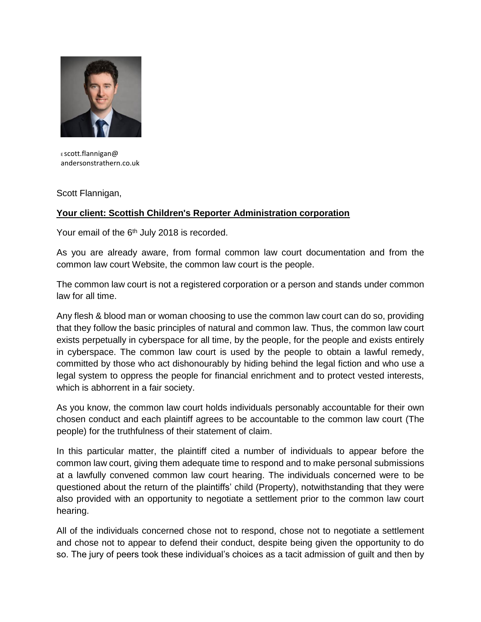

<sup>E</sup>scott.flannigan@ andersonstrathern.co.uk

Scott Flannigan,

## **Your client: Scottish Children's Reporter Administration corporation**

Your email of the 6<sup>th</sup> July 2018 is recorded.

As you are already aware, from formal common law court documentation and from the common law court Website, the common law court is the people.

The common law court is not a registered corporation or a person and stands under common law for all time.

Any flesh & blood man or woman choosing to use the common law court can do so, providing that they follow the basic principles of natural and common law. Thus, the common law court exists perpetually in cyberspace for all time, by the people, for the people and exists entirely in cyberspace. The common law court is used by the people to obtain a lawful remedy, committed by those who act dishonourably by hiding behind the legal fiction and who use a legal system to oppress the people for financial enrichment and to protect vested interests, which is abhorrent in a fair society.

As you know, the common law court holds individuals personably accountable for their own chosen conduct and each plaintiff agrees to be accountable to the common law court (The people) for the truthfulness of their statement of claim.

In this particular matter, the plaintiff cited a number of individuals to appear before the common law court, giving them adequate time to respond and to make personal submissions at a lawfully convened common law court hearing. The individuals concerned were to be questioned about the return of the plaintiffs' child (Property), notwithstanding that they were also provided with an opportunity to negotiate a settlement prior to the common law court hearing.

All of the individuals concerned chose not to respond, chose not to negotiate a settlement and chose not to appear to defend their conduct, despite being given the opportunity to do so. The jury of peers took these individual's choices as a tacit admission of guilt and then by